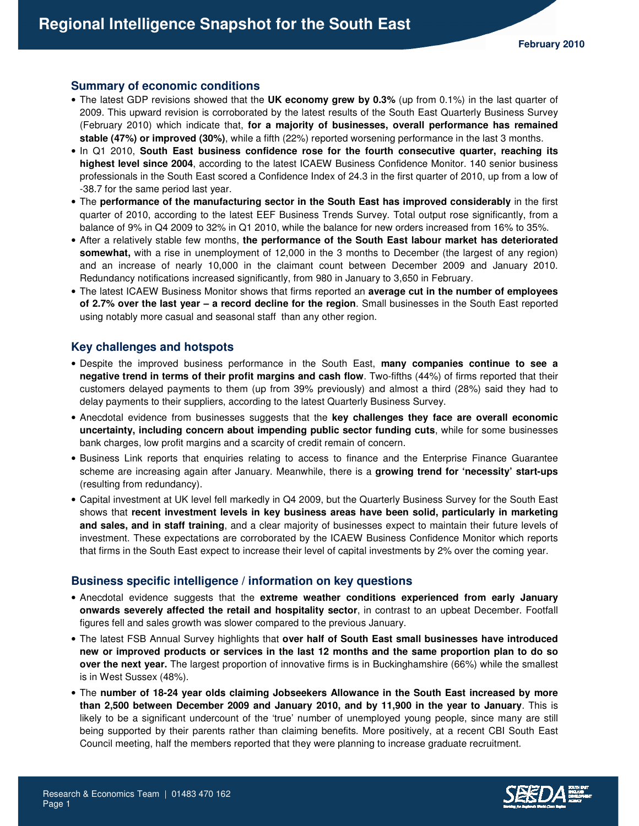### **Summary of economic conditions**

- The latest GDP revisions showed that the **UK economy grew by 0.3%** (up from 0.1%) in the last quarter of 2009. This upward revision is corroborated by the latest results of the South East Quarterly Business Survey (February 2010) which indicate that, **for a majority of businesses, overall performance has remained stable (47%) or improved (30%)**, while a fifth (22%) reported worsening performance in the last 3 months.
- In Q1 2010, **South East business confidence rose for the fourth consecutive quarter, reaching its highest level since 2004**, according to the latest ICAEW Business Confidence Monitor. 140 senior business professionals in the South East scored a Confidence Index of 24.3 in the first quarter of 2010, up from a low of -38.7 for the same period last year.
- The **performance of the manufacturing sector in the South East has improved considerably** in the first quarter of 2010, according to the latest EEF Business Trends Survey. Total output rose significantly, from a balance of 9% in Q4 2009 to 32% in Q1 2010, while the balance for new orders increased from 16% to 35%.
- After a relatively stable few months, **the performance of the South East labour market has deteriorated somewhat,** with a rise in unemployment of 12,000 in the 3 months to December (the largest of any region) and an increase of nearly 10,000 in the claimant count between December 2009 and January 2010. Redundancy notifications increased significantly, from 980 in January to 3,650 in February.
- The latest ICAEW Business Monitor shows that firms reported an **average cut in the number of employees of 2.7% over the last year – a record decline for the region**. Small businesses in the South East reported using notably more casual and seasonal staff than any other region.

#### **Key challenges and hotspots**

- Despite the improved business performance in the South East, **many companies continue to see a negative trend in terms of their profit margins and cash flow**. Two-fifths (44%) of firms reported that their customers delayed payments to them (up from 39% previously) and almost a third (28%) said they had to delay payments to their suppliers, according to the latest Quarterly Business Survey.
- Anecdotal evidence from businesses suggests that the **key challenges they face are overall economic uncertainty, including concern about impending public sector funding cuts**, while for some businesses bank charges, low profit margins and a scarcity of credit remain of concern.
- Business Link reports that enquiries relating to access to finance and the Enterprise Finance Guarantee scheme are increasing again after January. Meanwhile, there is a **growing trend for 'necessity' start-ups** (resulting from redundancy).
- Capital investment at UK level fell markedly in Q4 2009, but the Quarterly Business Survey for the South East shows that **recent investment levels in key business areas have been solid, particularly in marketing and sales, and in staff training**, and a clear majority of businesses expect to maintain their future levels of investment. These expectations are corroborated by the ICAEW Business Confidence Monitor which reports that firms in the South East expect to increase their level of capital investments by 2% over the coming year.

#### **Business specific intelligence / information on key questions**

- Anecdotal evidence suggests that the **extreme weather conditions experienced from early January onwards severely affected the retail and hospitality sector**, in contrast to an upbeat December. Footfall figures fell and sales growth was slower compared to the previous January.
- The latest FSB Annual Survey highlights that **over half of South East small businesses have introduced new or improved products or services in the last 12 months and the same proportion plan to do so over the next year.** The largest proportion of innovative firms is in Buckinghamshire (66%) while the smallest is in West Sussex (48%).
- The **number of 18-24 year olds claiming Jobseekers Allowance in the South East increased by more than 2,500 between December 2009 and January 2010, and by 11,900 in the year to January**. This is likely to be a significant undercount of the 'true' number of unemployed young people, since many are still being supported by their parents rather than claiming benefits. More positively, at a recent CBI South East Council meeting, half the members reported that they were planning to increase graduate recruitment.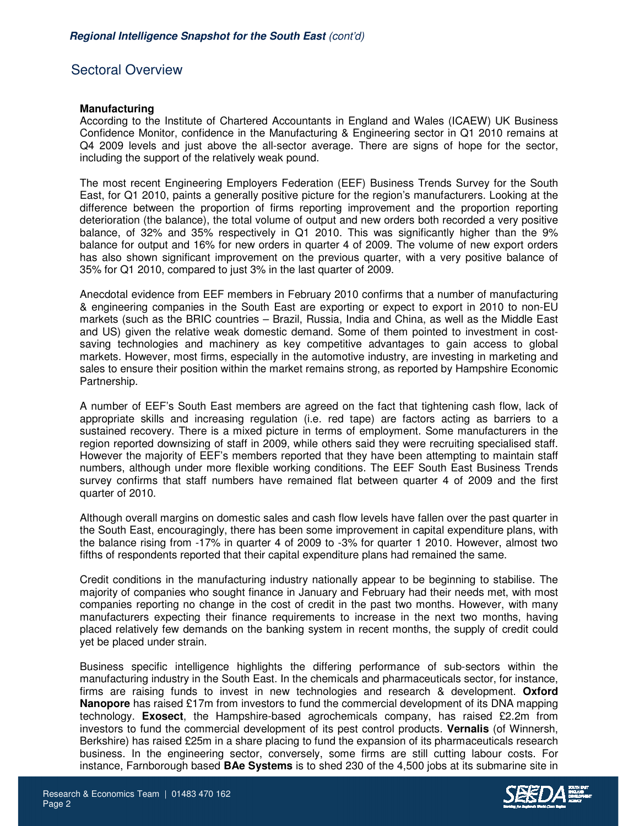# Sectoral Overview

## **Manufacturing**

According to the Institute of Chartered Accountants in England and Wales (ICAEW) UK Business Confidence Monitor, confidence in the Manufacturing & Engineering sector in Q1 2010 remains at Q4 2009 levels and just above the all-sector average. There are signs of hope for the sector, including the support of the relatively weak pound.

The most recent Engineering Employers Federation (EEF) Business Trends Survey for the South East, for Q1 2010, paints a generally positive picture for the region's manufacturers. Looking at the difference between the proportion of firms reporting improvement and the proportion reporting deterioration (the balance), the total volume of output and new orders both recorded a very positive balance, of 32% and 35% respectively in Q1 2010. This was significantly higher than the 9% balance for output and 16% for new orders in quarter 4 of 2009. The volume of new export orders has also shown significant improvement on the previous quarter, with a very positive balance of 35% for Q1 2010, compared to just 3% in the last quarter of 2009.

Anecdotal evidence from EEF members in February 2010 confirms that a number of manufacturing & engineering companies in the South East are exporting or expect to export in 2010 to non-EU markets (such as the BRIC countries – Brazil, Russia, India and China, as well as the Middle East and US) given the relative weak domestic demand. Some of them pointed to investment in costsaving technologies and machinery as key competitive advantages to gain access to global markets. However, most firms, especially in the automotive industry, are investing in marketing and sales to ensure their position within the market remains strong, as reported by Hampshire Economic Partnership.

A number of EEF's South East members are agreed on the fact that tightening cash flow, lack of appropriate skills and increasing regulation (i.e. red tape) are factors acting as barriers to a sustained recovery. There is a mixed picture in terms of employment. Some manufacturers in the region reported downsizing of staff in 2009, while others said they were recruiting specialised staff. However the majority of EEF's members reported that they have been attempting to maintain staff numbers, although under more flexible working conditions. The EEF South East Business Trends survey confirms that staff numbers have remained flat between quarter 4 of 2009 and the first quarter of 2010.

Although overall margins on domestic sales and cash flow levels have fallen over the past quarter in the South East, encouragingly, there has been some improvement in capital expenditure plans, with the balance rising from -17% in quarter 4 of 2009 to -3% for quarter 1 2010. However, almost two fifths of respondents reported that their capital expenditure plans had remained the same.

Credit conditions in the manufacturing industry nationally appear to be beginning to stabilise. The majority of companies who sought finance in January and February had their needs met, with most companies reporting no change in the cost of credit in the past two months. However, with many manufacturers expecting their finance requirements to increase in the next two months, having placed relatively few demands on the banking system in recent months, the supply of credit could yet be placed under strain.

Business specific intelligence highlights the differing performance of sub-sectors within the manufacturing industry in the South East. In the chemicals and pharmaceuticals sector, for instance, firms are raising funds to invest in new technologies and research & development. **Oxford Nanopore** has raised £17m from investors to fund the commercial development of its DNA mapping technology. **Exosect**, the Hampshire-based agrochemicals company, has raised £2.2m from investors to fund the commercial development of its pest control products. **Vernalis** (of Winnersh, Berkshire) has raised £25m in a share placing to fund the expansion of its pharmaceuticals research business. In the engineering sector, conversely, some firms are still cutting labour costs. For instance, Farnborough based **BAe Systems** is to shed 230 of the 4,500 jobs at its submarine site in

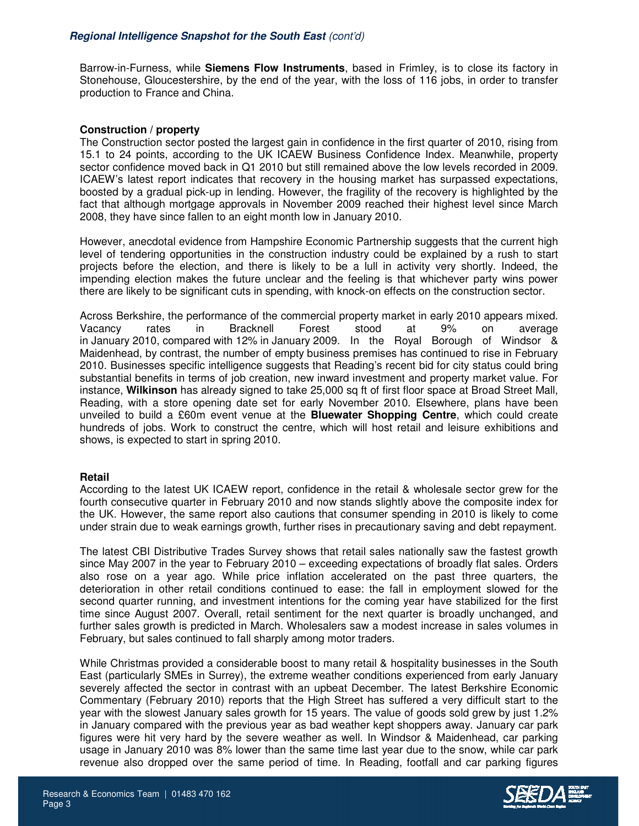Barrow-in-Furness, while **Siemens Flow Instruments**, based in Frimley, is to close its factory in Stonehouse, Gloucestershire, by the end of the year, with the loss of 116 jobs, in order to transfer production to France and China.

# **Construction / property**

The Construction sector posted the largest gain in confidence in the first quarter of 2010, rising from 15.1 to 24 points, according to the UK ICAEW Business Confidence Index. Meanwhile, property sector confidence moved back in Q1 2010 but still remained above the low levels recorded in 2009. ICAEW's latest report indicates that recovery in the housing market has surpassed expectations, boosted by a gradual pick-up in lending. However, the fragility of the recovery is highlighted by the fact that although mortgage approvals in November 2009 reached their highest level since March 2008, they have since fallen to an eight month low in January 2010.

However, anecdotal evidence from Hampshire Economic Partnership suggests that the current high level of tendering opportunities in the construction industry could be explained by a rush to start projects before the election, and there is likely to be a lull in activity very shortly. Indeed, the impending election makes the future unclear and the feeling is that whichever party wins power there are likely to be significant cuts in spending, with knock-on effects on the construction sector.

Across Berkshire, the performance of the commercial property market in early 2010 appears mixed. Vacancy rates in Bracknell Forest stood at 9% on average in January 2010, compared with 12% in January 2009. In the Royal Borough of Windsor & Maidenhead, by contrast, the number of empty business premises has continued to rise in February 2010. Businesses specific intelligence suggests that Reading's recent bid for city status could bring substantial benefits in terms of job creation, new inward investment and property market value. For instance, **Wilkinson** has already signed to take 25,000 sq ft of first floor space at Broad Street Mall, Reading, with a store opening date set for early November 2010. Elsewhere, plans have been unveiled to build a £60m event venue at the **Bluewater Shopping Centre**, which could create hundreds of jobs. Work to construct the centre, which will host retail and leisure exhibitions and shows, is expected to start in spring 2010.

### **Retail**

According to the latest UK ICAEW report, confidence in the retail & wholesale sector grew for the fourth consecutive quarter in February 2010 and now stands slightly above the composite index for the UK. However, the same report also cautions that consumer spending in 2010 is likely to come under strain due to weak earnings growth, further rises in precautionary saving and debt repayment.

The latest CBI Distributive Trades Survey shows that retail sales nationally saw the fastest growth since May 2007 in the year to February 2010 – exceeding expectations of broadly flat sales. Orders also rose on a year ago. While price inflation accelerated on the past three quarters, the deterioration in other retail conditions continued to ease: the fall in employment slowed for the second quarter running, and investment intentions for the coming year have stabilized for the first time since August 2007. Overall, retail sentiment for the next quarter is broadly unchanged, and further sales growth is predicted in March. Wholesalers saw a modest increase in sales volumes in February, but sales continued to fall sharply among motor traders.

While Christmas provided a considerable boost to many retail & hospitality businesses in the South East (particularly SMEs in Surrey), the extreme weather conditions experienced from early January severely affected the sector in contrast with an upbeat December. The latest Berkshire Economic Commentary (February 2010) reports that the High Street has suffered a very difficult start to the year with the slowest January sales growth for 15 years. The value of goods sold grew by just 1.2% in January compared with the previous year as bad weather kept shoppers away. January car park figures were hit very hard by the severe weather as well. In Windsor & Maidenhead, car parking usage in January 2010 was 8% lower than the same time last year due to the snow, while car park revenue also dropped over the same period of time. In Reading, footfall and car parking figures

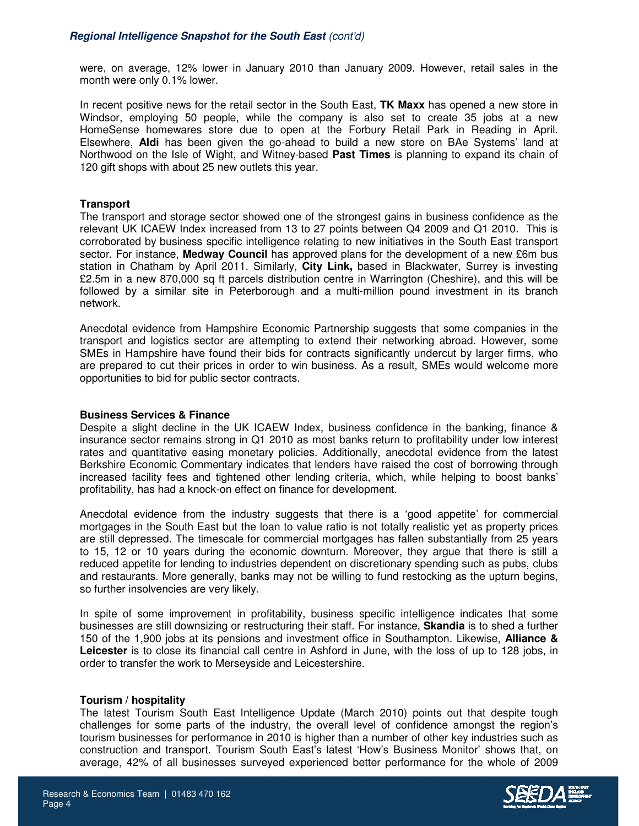were, on average, 12% lower in January 2010 than January 2009. However, retail sales in the month were only 0.1% lower.

In recent positive news for the retail sector in the South East, **TK Maxx** has opened a new store in Windsor, employing 50 people, while the company is also set to create 35 jobs at a new HomeSense homewares store due to open at the Forbury Retail Park in Reading in April. Elsewhere, **Aldi** has been given the go-ahead to build a new store on BAe Systems' land at Northwood on the Isle of Wight, and Witney-based **Past Times** is planning to expand its chain of 120 gift shops with about 25 new outlets this year.

## **Transport**

The transport and storage sector showed one of the strongest gains in business confidence as the relevant UK ICAEW Index increased from 13 to 27 points between Q4 2009 and Q1 2010. This is corroborated by business specific intelligence relating to new initiatives in the South East transport sector. For instance, **Medway Council** has approved plans for the development of a new £6m bus station in Chatham by April 2011. Similarly, **City Link,** based in Blackwater, Surrey is investing £2.5m in a new 870,000 sq ft parcels distribution centre in Warrington (Cheshire), and this will be followed by a similar site in Peterborough and a multi-million pound investment in its branch network.

Anecdotal evidence from Hampshire Economic Partnership suggests that some companies in the transport and logistics sector are attempting to extend their networking abroad. However, some SMEs in Hampshire have found their bids for contracts significantly undercut by larger firms, who are prepared to cut their prices in order to win business. As a result, SMEs would welcome more opportunities to bid for public sector contracts.

### **Business Services & Finance**

Despite a slight decline in the UK ICAEW Index, business confidence in the banking, finance & insurance sector remains strong in Q1 2010 as most banks return to profitability under low interest rates and quantitative easing monetary policies. Additionally, anecdotal evidence from the latest Berkshire Economic Commentary indicates that lenders have raised the cost of borrowing through increased facility fees and tightened other lending criteria, which, while helping to boost banks' profitability, has had a knock-on effect on finance for development.

Anecdotal evidence from the industry suggests that there is a 'good appetite' for commercial mortgages in the South East but the loan to value ratio is not totally realistic yet as property prices are still depressed. The timescale for commercial mortgages has fallen substantially from 25 years to 15, 12 or 10 years during the economic downturn. Moreover, they argue that there is still a reduced appetite for lending to industries dependent on discretionary spending such as pubs, clubs and restaurants. More generally, banks may not be willing to fund restocking as the upturn begins, so further insolvencies are very likely.

In spite of some improvement in profitability, business specific intelligence indicates that some businesses are still downsizing or restructuring their staff. For instance, **Skandia** is to shed a further 150 of the 1,900 jobs at its pensions and investment office in Southampton. Likewise, **Alliance &**  Leicester is to close its financial call centre in Ashford in June, with the loss of up to 128 jobs, in order to transfer the work to Merseyside and Leicestershire.

### **Tourism / hospitality**

The latest Tourism South East Intelligence Update (March 2010) points out that despite tough challenges for some parts of the industry, the overall level of confidence amongst the region's tourism businesses for performance in 2010 is higher than a number of other key industries such as construction and transport. Tourism South East's latest 'How's Business Monitor' shows that, on average, 42% of all businesses surveyed experienced better performance for the whole of 2009



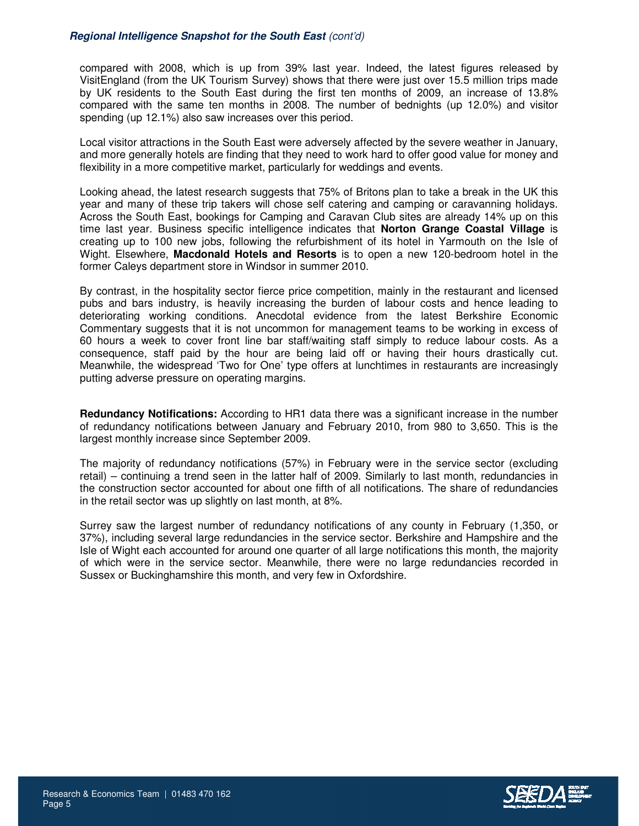## **Regional Intelligence Snapshot for the South East** (cont'd)

compared with 2008, which is up from 39% last year. Indeed, the latest figures released by VisitEngland (from the UK Tourism Survey) shows that there were just over 15.5 million trips made by UK residents to the South East during the first ten months of 2009, an increase of 13.8% compared with the same ten months in 2008. The number of bednights (up 12.0%) and visitor spending (up 12.1%) also saw increases over this period.

Local visitor attractions in the South East were adversely affected by the severe weather in January, and more generally hotels are finding that they need to work hard to offer good value for money and flexibility in a more competitive market, particularly for weddings and events.

Looking ahead, the latest research suggests that 75% of Britons plan to take a break in the UK this year and many of these trip takers will chose self catering and camping or caravanning holidays. Across the South East, bookings for Camping and Caravan Club sites are already 14% up on this time last year. Business specific intelligence indicates that **Norton Grange Coastal Village** is creating up to 100 new jobs, following the refurbishment of its hotel in Yarmouth on the Isle of Wight. Elsewhere, **Macdonald Hotels and Resorts** is to open a new 120-bedroom hotel in the former Caleys department store in Windsor in summer 2010.

By contrast, in the hospitality sector fierce price competition, mainly in the restaurant and licensed pubs and bars industry, is heavily increasing the burden of labour costs and hence leading to deteriorating working conditions. Anecdotal evidence from the latest Berkshire Economic Commentary suggests that it is not uncommon for management teams to be working in excess of 60 hours a week to cover front line bar staff/waiting staff simply to reduce labour costs. As a consequence, staff paid by the hour are being laid off or having their hours drastically cut. Meanwhile, the widespread 'Two for One' type offers at lunchtimes in restaurants are increasingly putting adverse pressure on operating margins.

**Redundancy Notifications:** According to HR1 data there was a significant increase in the number of redundancy notifications between January and February 2010, from 980 to 3,650. This is the largest monthly increase since September 2009.

The majority of redundancy notifications (57%) in February were in the service sector (excluding retail) – continuing a trend seen in the latter half of 2009. Similarly to last month, redundancies in the construction sector accounted for about one fifth of all notifications. The share of redundancies in the retail sector was up slightly on last month, at 8%.

Surrey saw the largest number of redundancy notifications of any county in February (1,350, or 37%), including several large redundancies in the service sector. Berkshire and Hampshire and the Isle of Wight each accounted for around one quarter of all large notifications this month, the majority of which were in the service sector. Meanwhile, there were no large redundancies recorded in Sussex or Buckinghamshire this month, and very few in Oxfordshire.